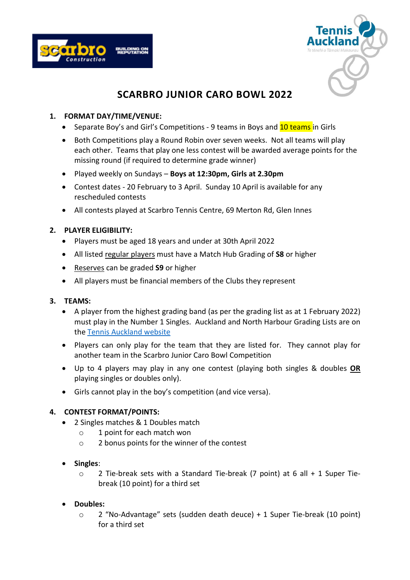



# **SCARBRO JUNIOR CARO BOWL 2022**

## **1. FORMAT DAY/TIME/VENUE:**

- Separate Boy's and Girl's Competitions 9 teams in Boys and 10 teams in Girls
- Both Competitions play a Round Robin over seven weeks. Not all teams will play each other. Teams that play one less contest will be awarded average points for the missing round (if required to determine grade winner)
- Played weekly on Sundays **Boys at 12:30pm, Girls at 2.30pm**
- Contest dates 20 February to 3 April. Sunday 10 April is available for any rescheduled contests
- All contests played at Scarbro Tennis Centre, 69 Merton Rd, Glen Innes

# **2. PLAYER ELIGIBILITY:**

- Players must be aged 18 years and under at 30th April 2022
- All listed regular players must have a Match Hub Grading of **S8** or higher
- Reserves can be graded **S9** or higher
- All players must be financial members of the Clubs they represent

## **3. TEAMS:**

- A player from the highest grading band (as per the grading list as at 1 February 2022) must play in the Number 1 Singles. Auckland and North Harbour Grading Lists are on the [Tennis Auckland](https://www.tennisauckland.co.nz/senior-interclub/) website
- Players can only play for the team that they are listed for. They cannot play for another team in the Scarbro Junior Caro Bowl Competition
- Up to 4 players may play in any one contest (playing both singles & doubles **OR** playing singles or doubles only).
- Girls cannot play in the boy's competition (and vice versa).

## **4. CONTEST FORMAT/POINTS:**

- 2 Singles matches & 1 Doubles match
	- o 1 point for each match won
	- o 2 bonus points for the winner of the contest
- **Singles**:
	- o 2 Tie-break sets with a Standard Tie-break (7 point) at 6 all + 1 Super Tiebreak (10 point) for a third set
- **Doubles:**
	- o 2 "No-Advantage" sets (sudden death deuce) + 1 Super Tie-break (10 point) for a third set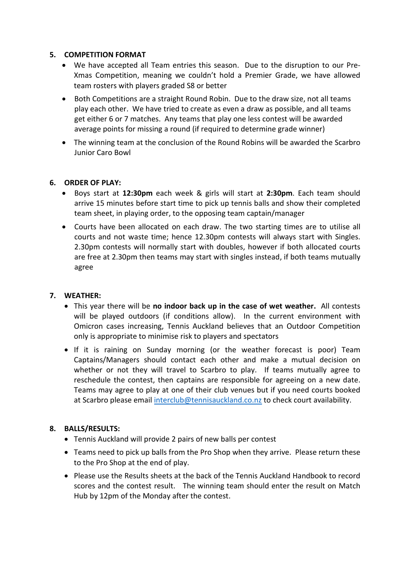## **5. COMPETITION FORMAT**

- We have accepted all Team entries this season. Due to the disruption to our Pre-Xmas Competition, meaning we couldn't hold a Premier Grade, we have allowed team rosters with players graded S8 or better
- Both Competitions are a straight Round Robin. Due to the draw size, not all teams play each other. We have tried to create as even a draw as possible, and all teams get either 6 or 7 matches. Any teams that play one less contest will be awarded average points for missing a round (if required to determine grade winner)
- The winning team at the conclusion of the Round Robins will be awarded the Scarbro Junior Caro Bowl

### **6. ORDER OF PLAY:**

- Boys start at **12:30pm** each week & girls will start at **2:30pm**. Each team should arrive 15 minutes before start time to pick up tennis balls and show their completed team sheet, in playing order, to the opposing team captain/manager
- Courts have been allocated on each draw. The two starting times are to utilise all courts and not waste time; hence 12.30pm contests will always start with Singles. 2.30pm contests will normally start with doubles, however if both allocated courts are free at 2.30pm then teams may start with singles instead, if both teams mutually agree

#### **7. WEATHER:**

- This year there will be **no indoor back up in the case of wet weather.** All contests will be played outdoors (if conditions allow). In the current environment with Omicron cases increasing, Tennis Auckland believes that an Outdoor Competition only is appropriate to minimise risk to players and spectators
- If it is raining on Sunday morning (or the weather forecast is poor) Team Captains/Managers should contact each other and make a mutual decision on whether or not they will travel to Scarbro to play. If teams mutually agree to reschedule the contest, then captains are responsible for agreeing on a new date. Teams may agree to play at one of their club venues but if you need courts booked at Scarbro please email [interclub@tennisauckland.co.nz](mailto:interclub@tennisauckland.co.nz) to check court availability.

#### **8. BALLS/RESULTS:**

- Tennis Auckland will provide 2 pairs of new balls per contest
- Teams need to pick up balls from the Pro Shop when they arrive. Please return these to the Pro Shop at the end of play.
- Please use the Results sheets at the back of the Tennis Auckland Handbook to record scores and the contest result. The winning team should enter the result on Match Hub by 12pm of the Monday after the contest.